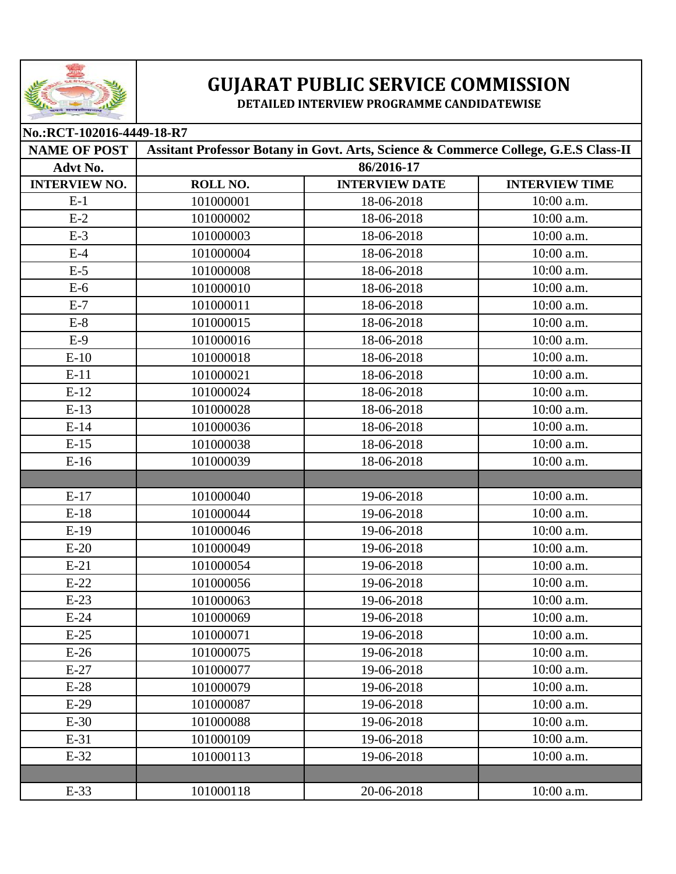

## **GUJARAT PUBLIC SERVICE COMMISSION**

**DETAILED INTERVIEW PROGRAMME CANDIDATEWISE** 

| No.:RCT-102016-4449-18-R7 |                                                                                     |                       |                       |  |
|---------------------------|-------------------------------------------------------------------------------------|-----------------------|-----------------------|--|
| <b>NAME OF POST</b>       | Assitant Professor Botany in Govt. Arts, Science & Commerce College, G.E.S Class-II |                       |                       |  |
| Advt No.                  | 86/2016-17                                                                          |                       |                       |  |
| <b>INTERVIEW NO.</b>      | ROLL NO.                                                                            | <b>INTERVIEW DATE</b> | <b>INTERVIEW TIME</b> |  |
| $E-1$                     | 101000001                                                                           | 18-06-2018            | 10:00 a.m.            |  |
| $E-2$                     | 101000002                                                                           | 18-06-2018            | 10:00 a.m.            |  |
| $E-3$                     | 101000003                                                                           | 18-06-2018            | 10:00 a.m.            |  |
| $E-4$                     | 101000004                                                                           | 18-06-2018            | 10:00 a.m.            |  |
| $E-5$                     | 101000008                                                                           | 18-06-2018            | 10:00 a.m.            |  |
| $E-6$                     | 101000010                                                                           | 18-06-2018            | 10:00 a.m.            |  |
| $E-7$                     | 101000011                                                                           | 18-06-2018            | 10:00 a.m.            |  |
| $E-8$                     | 101000015                                                                           | 18-06-2018            | 10:00 a.m.            |  |
| $E-9$                     | 101000016                                                                           | 18-06-2018            | $10:00$ a.m.          |  |
| $E-10$                    | 101000018                                                                           | 18-06-2018            | 10:00 a.m.            |  |
| $E-11$                    | 101000021                                                                           | 18-06-2018            | 10:00 a.m.            |  |
| $E-12$                    | 101000024                                                                           | 18-06-2018            | 10:00 a.m.            |  |
| $E-13$                    | 101000028                                                                           | 18-06-2018            | 10:00 a.m.            |  |
| $E-14$                    | 101000036                                                                           | 18-06-2018            | 10:00 a.m.            |  |
| $E-15$                    | 101000038                                                                           | 18-06-2018            | 10:00 a.m.            |  |
| $E-16$                    | 101000039                                                                           | 18-06-2018            | 10:00 a.m.            |  |
|                           |                                                                                     |                       |                       |  |
| $E-17$                    | 101000040                                                                           | 19-06-2018            | 10:00 a.m.            |  |
| $E-18$                    | 101000044                                                                           | 19-06-2018            | 10:00 a.m.            |  |
| $E-19$                    | 101000046                                                                           | 19-06-2018            | 10:00 a.m.            |  |
| $E-20$                    | 101000049                                                                           | 19-06-2018            | 10:00 a.m.            |  |
| $E-21$                    | 101000054                                                                           | 19-06-2018            | 10:00 a.m.            |  |
| $E-22$                    | 101000056                                                                           | 19-06-2018            | 10:00 a.m.            |  |
| $E-23$                    | 101000063                                                                           | 19-06-2018            | 10:00 a.m.            |  |
| $E-24$                    | 101000069                                                                           | 19-06-2018            | 10:00 a.m.            |  |
| $E-25$                    | 101000071                                                                           | 19-06-2018            | 10:00 a.m.            |  |
| $E-26$                    | 101000075                                                                           | 19-06-2018            | 10:00 a.m.            |  |
| $E-27$                    | 101000077                                                                           | 19-06-2018            | 10:00 a.m.            |  |
| $E-28$                    | 101000079                                                                           | 19-06-2018            | 10:00 a.m.            |  |
| $E-29$                    | 101000087                                                                           | 19-06-2018            | $10:00$ a.m.          |  |
| $E-30$                    | 101000088                                                                           | 19-06-2018            | 10:00 a.m.            |  |
| $E-31$                    | 101000109                                                                           | 19-06-2018            | 10:00 a.m.            |  |
| $E-32$                    | 101000113                                                                           | 19-06-2018            | 10:00 a.m.            |  |
|                           |                                                                                     |                       |                       |  |
| $E-33$                    | 101000118                                                                           | 20-06-2018            | 10:00 a.m.            |  |